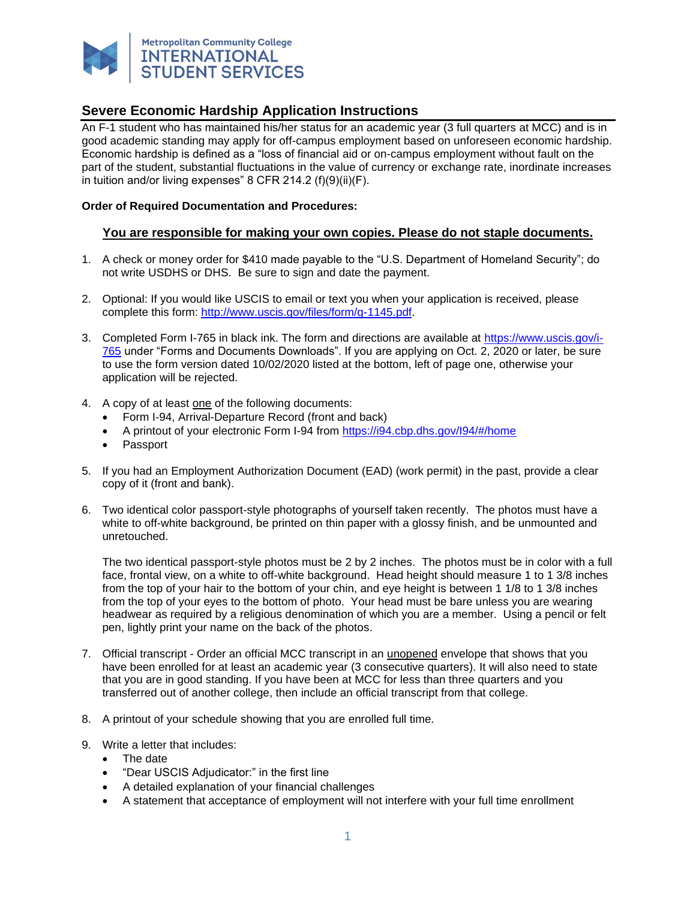

An F-1 student who has maintained his/her status for an academic year (3 full quarters at MCC) and is in good academic standing may apply for off-campus employment based on unforeseen economic hardship. Economic hardship is defined as a "loss of financial aid or on-campus employment without fault on the part of the student, substantial fluctuations in the value of currency or exchange rate, inordinate increases in tuition and/or living expenses" 8 CFR 214.2 (f)(9)(ii)(F).

#### **Order of Required Documentation and Procedures:**

#### **You are responsible for making your own copies. Please do not staple documents.**

- 1. A check or money order for \$410 made payable to the "U.S. Department of Homeland Security"; do not write USDHS or DHS. Be sure to sign and date the payment.
- 2. Optional: If you would like USCIS to email or text you when your application is received, please complete this form: [http://www.uscis.gov/files/form/g-1145.pdf.](http://www.uscis.gov/files/form/g-1145.pdf)
- 3. Completed Form I-765 in black ink. The form and directions are available at [https://www.uscis.gov/i-](https://www.uscis.gov/i-765)[765](https://www.uscis.gov/i-765) under "Forms and Documents Downloads". If you are applying on Oct. 2, 2020 or later, be sure to use the form version dated 10/02/2020 listed at the bottom, left of page one, otherwise your application will be rejected.
- 4. A copy of at least one of the following documents:
	- Form I-94, Arrival-Departure Record (front and back)
	- A printout of your electronic Form I-94 from https://i94.cbp.dhs.gov/l94/#/home
	- Passport
- 5. If you had an Employment Authorization Document (EAD) (work permit) in the past, provide a clear copy of it (front and bank).
- 6. Two identical color passport-style photographs of yourself taken recently. The photos must have a white to off-white background, be printed on thin paper with a glossy finish, and be unmounted and unretouched.

The two identical passport-style photos must be 2 by 2 inches. The photos must be in color with a full face, frontal view, on a white to off-white background. Head height should measure 1 to 1 3/8 inches from the top of your hair to the bottom of your chin, and eye height is between 1 1/8 to 1 3/8 inches from the top of your eyes to the bottom of photo. Your head must be bare unless you are wearing headwear as required by a religious denomination of which you are a member. Using a pencil or felt pen, lightly print your name on the back of the photos.

- 7. Official transcript Order an official MCC transcript in an unopened envelope that shows that you have been enrolled for at least an academic year (3 consecutive quarters). It will also need to state that you are in good standing. If you have been at MCC for less than three quarters and you transferred out of another college, then include an official transcript from that college.
- 8. A printout of your schedule showing that you are enrolled full time.
- 9. Write a letter that includes:
	- The date
	- "Dear USCIS Adjudicator:" in the first line
	- A detailed explanation of your financial challenges
	- A statement that acceptance of employment will not interfere with your full time enrollment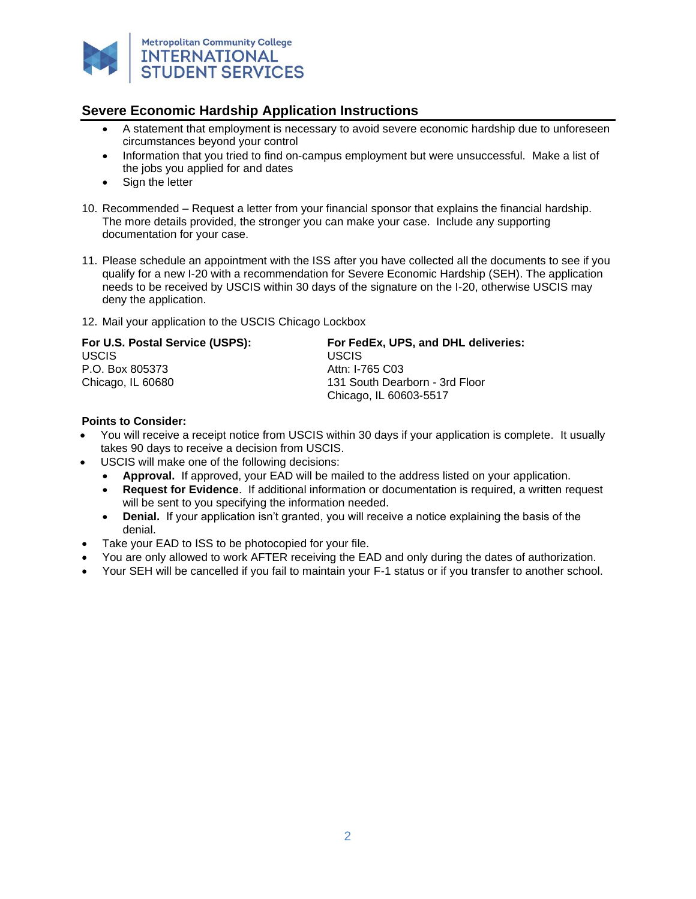

- A statement that employment is necessary to avoid severe economic hardship due to unforeseen circumstances beyond your control
- Information that you tried to find on-campus employment but were unsuccessful. Make a list of the jobs you applied for and dates
- Sign the letter
- 10. Recommended Request a letter from your financial sponsor that explains the financial hardship. The more details provided, the stronger you can make your case. Include any supporting documentation for your case.
- 11. Please schedule an appointment with the ISS after you have collected all the documents to see if you qualify for a new I-20 with a recommendation for Severe Economic Hardship (SEH). The application needs to be received by USCIS within 30 days of the signature on the I-20, otherwise USCIS may deny the application.
- 12. Mail your application to the USCIS Chicago Lockbox

| For U.S. Postal Service (USPS): | For FedEx, UPS, and DHL deliveries: |
|---------------------------------|-------------------------------------|
| USCIS.                          | USCIS.                              |
| P.O. Box 805373                 | Attn: I-765 C03                     |
| Chicago, IL 60680               | 131 South Dearborn - 3rd Floor      |
|                                 | Chicago, IL 60603-5517              |

#### **Points to Consider:**

- You will receive a receipt notice from USCIS within 30 days if your application is complete. It usually takes 90 days to receive a decision from USCIS.
- USCIS will make one of the following decisions:
	- **Approval.** If approved, your EAD will be mailed to the address listed on your application.
	- **Request for Evidence**. If additional information or documentation is required, a written request will be sent to you specifying the information needed.
	- **Denial.** If your application isn't granted, you will receive a notice explaining the basis of the denial.
- Take your EAD to ISS to be photocopied for your file.
- You are only allowed to work AFTER receiving the EAD and only during the dates of authorization.
- Your SEH will be cancelled if you fail to maintain your F-1 status or if you transfer to another school.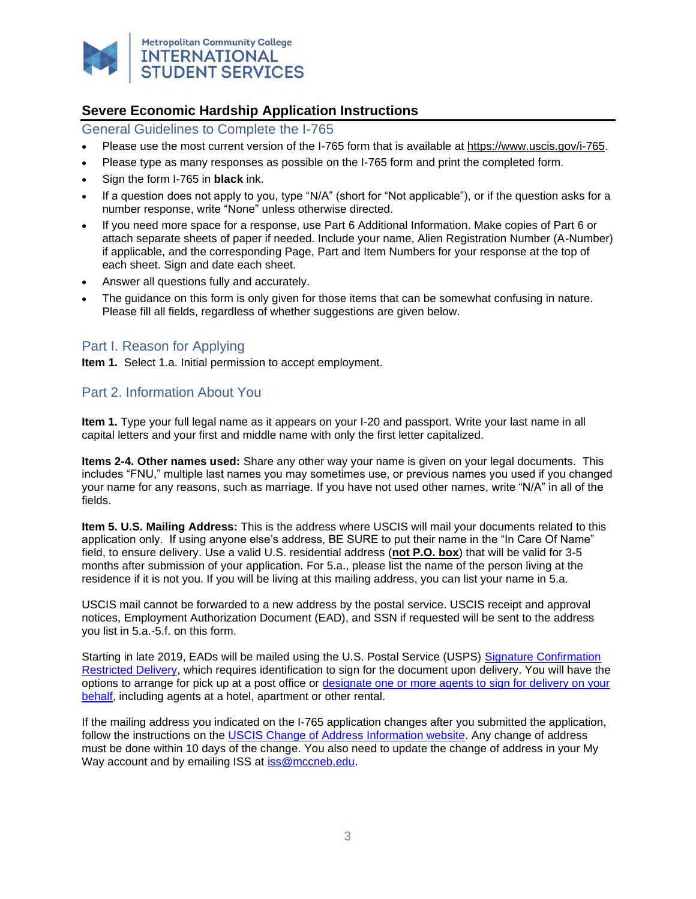

General Guidelines to Complete the I-765

- Please use the most current version of the I-765 form that is available at [https://www.uscis.gov/i-765.](https://www.uscis.gov/i-765)
- Please type as many responses as possible on the I-765 form and print the completed form.
- Sign the form I-765 in **black** ink.
- If a question does not apply to you, type "N/A" (short for "Not applicable"), or if the question asks for a number response, write "None" unless otherwise directed.
- If you need more space for a response, use Part 6 Additional Information. Make copies of Part 6 or attach separate sheets of paper if needed. Include your name, Alien Registration Number (A-Number) if applicable, and the corresponding Page, Part and Item Numbers for your response at the top of each sheet. Sign and date each sheet.
- Answer all questions fully and accurately.
- The guidance on this form is only given for those items that can be somewhat confusing in nature. Please fill all fields, regardless of whether suggestions are given below.

## Part I. Reason for Applying

**Item 1.** Select 1.a. Initial permission to accept employment.

### Part 2. Information About You

**Item 1.** Type your full legal name as it appears on your I-20 and passport. Write your last name in all capital letters and your first and middle name with only the first letter capitalized.

**Items 2-4. Other names used:** Share any other way your name is given on your legal documents. This includes "FNU," multiple last names you may sometimes use, or previous names you used if you changed your name for any reasons, such as marriage. If you have not used other names, write "N/A" in all of the fields.

**Item 5. U.S. Mailing Address:** This is the address where USCIS will mail your documents related to this application only. If using anyone else's address, BE SURE to put their name in the "In Care Of Name" field, to ensure delivery. Use a valid U.S. residential address (**not P.O. box**) that will be valid for 3-5 months after submission of your application. For 5.a., please list the name of the person living at the residence if it is not you. If you will be living at this mailing address, you can list your name in 5.a.

USCIS mail cannot be forwarded to a new address by the postal service. USCIS receipt and approval notices, Employment Authorization Document (EAD), and SSN if requested will be sent to the address you list in 5.a.-5.f. on this form.

Starting in late 2019, EADs will be mailed using the U.S. Postal Service (USPS) [Signature Confirmation](https://pe.usps.com/text/dmm300/503.htm#8_0)  [Restricted Delivery,](https://pe.usps.com/text/dmm300/503.htm#8_0) which requires identification to sign for the document upon delivery. You will have the options to arrange for pick up at a post office or [designate one or more agents to sign for delivery on your](https://about.usps.com/forms/ps3801.pdf)  [behalf,](https://about.usps.com/forms/ps3801.pdf) including agents at a hotel, apartment or other rental.

If the mailing address you indicated on the I-765 application changes after you submitted the application, follow the instructions on the [USCIS Change of Address Information website.](https://www.uscis.gov/addresschange) Any change of address must be done within 10 days of the change. You also need to update the change of address in your My Way account and by emailing ISS at [iss@mccneb.edu.](mailto:iss@mccneb.edu)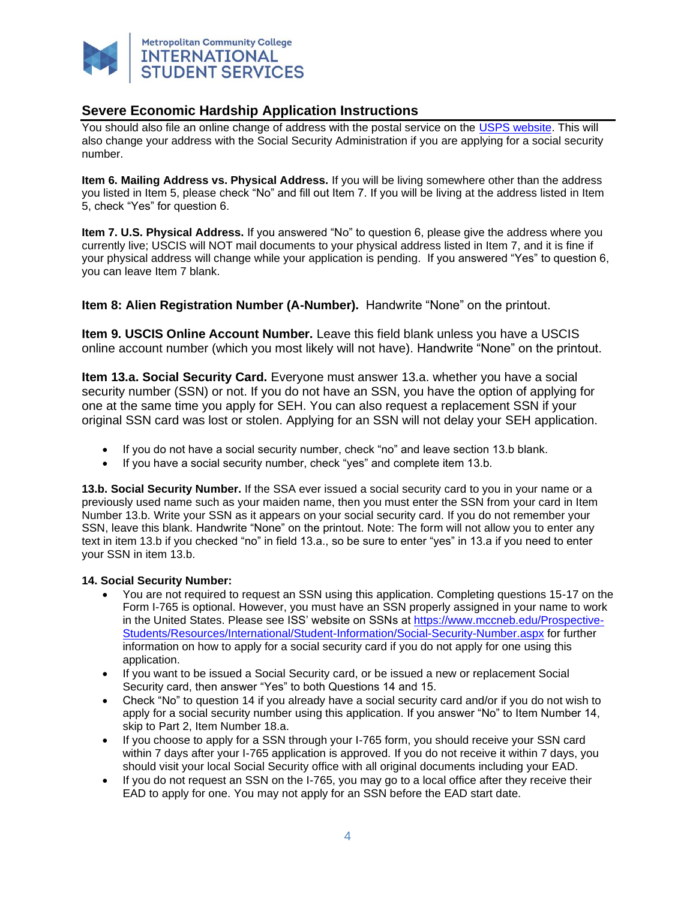

You should also file an online change of address with the postal service on the [USPS website.](https://moversguide.usps.com/mgo/disclaimer?referral=ICOARedirectV2) This will also change your address with the Social Security Administration if you are applying for a social security number.

**Item 6. Mailing Address vs. Physical Address.** If you will be living somewhere other than the address you listed in Item 5, please check "No" and fill out Item 7. If you will be living at the address listed in Item 5, check "Yes" for question 6.

**Item 7. U.S. Physical Address.** If you answered "No" to question 6, please give the address where you currently live; USCIS will NOT mail documents to your physical address listed in Item 7, and it is fine if your physical address will change while your application is pending. If you answered "Yes" to question 6, you can leave Item 7 blank.

**Item 8: Alien Registration Number (A-Number).** Handwrite "None" on the printout.

**Item 9. USCIS Online Account Number.** Leave this field blank unless you have a USCIS online account number (which you most likely will not have). Handwrite "None" on the printout.

**Item 13.a. Social Security Card.** Everyone must answer 13.a. whether you have a social security number (SSN) or not. If you do not have an SSN, you have the option of applying for one at the same time you apply for SEH. You can also request a replacement SSN if your original SSN card was lost or stolen. Applying for an SSN will not delay your SEH application.

- If you do not have a social security number, check "no" and leave section 13.b blank.
- If you have a social security number, check "yes" and complete item 13.b.

**13.b. Social Security Number.** If the SSA ever issued a social security card to you in your name or a previously used name such as your maiden name, then you must enter the SSN from your card in Item Number 13.b. Write your SSN as it appears on your social security card. If you do not remember your SSN, leave this blank. Handwrite "None" on the printout. Note: The form will not allow you to enter any text in item 13.b if you checked "no" in field 13.a., so be sure to enter "yes" in 13.a if you need to enter your SSN in item 13.b.

#### **14. Social Security Number:**

- You are not required to request an SSN using this application. Completing questions 15-17 on the Form I-765 is optional. However, you must have an SSN properly assigned in your name to work in the United States. Please see ISS' website on SSNs at [https://www.mccneb.edu/Prospective-](https://www.mccneb.edu/Prospective-Students/Resources/International/Student-Information/Social-Security-Number.aspx)[Students/Resources/International/Student-Information/Social-Security-Number.aspx](https://www.mccneb.edu/Prospective-Students/Resources/International/Student-Information/Social-Security-Number.aspx) for further information on how to apply for a social security card if you do not apply for one using this application.
- If you want to be issued a Social Security card, or be issued a new or replacement Social Security card, then answer "Yes" to both Questions 14 and 15.
- Check "No" to question 14 if you already have a social security card and/or if you do not wish to apply for a social security number using this application. If you answer "No" to Item Number 14, skip to Part 2, Item Number 18.a.
- If you choose to apply for a SSN through your I-765 form, you should receive your SSN card within 7 days after your I-765 application is approved. If you do not receive it within 7 days, you should visit your local Social Security office with all original documents including your EAD.
- If you do not request an SSN on the I-765, you may go to a local office after they receive their EAD to apply for one. You may not apply for an SSN before the EAD start date.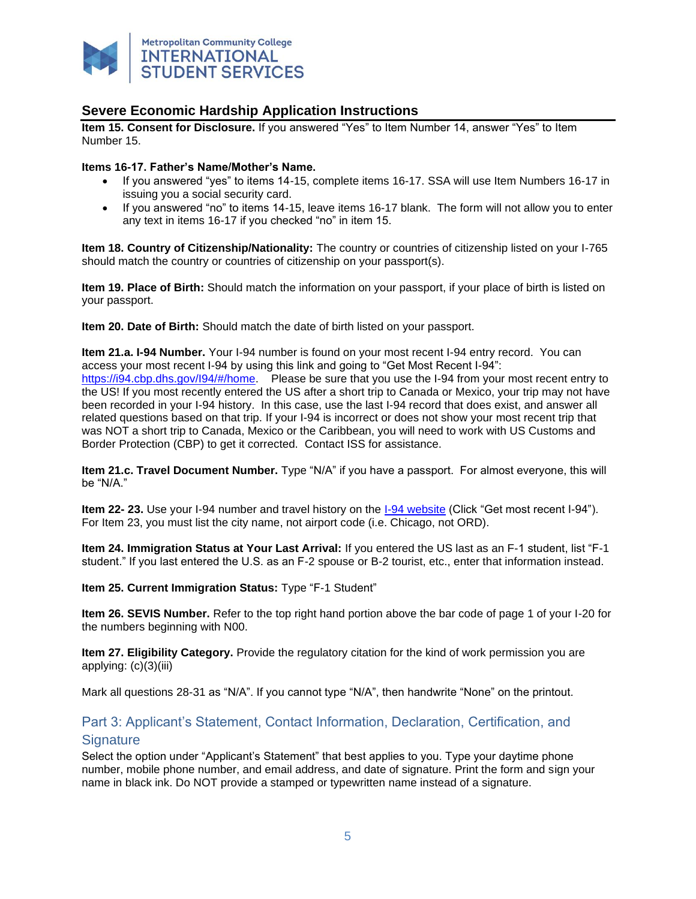

**Item 15. Consent for Disclosure.** If you answered "Yes" to Item Number 14, answer "Yes" to Item Number 15.

#### **Items 16-17. Father's Name/Mother's Name.**

- If you answered "yes" to items 14-15, complete items 16-17. SSA will use Item Numbers 16-17 in issuing you a social security card.
- If you answered "no" to items 14-15, leave items 16-17 blank. The form will not allow you to enter any text in items 16-17 if you checked "no" in item 15.

**Item 18. Country of Citizenship/Nationality:** The country or countries of citizenship listed on your I-765 should match the country or countries of citizenship on your passport(s).

**Item 19. Place of Birth:** Should match the information on your passport, if your place of birth is listed on your passport.

**Item 20. Date of Birth:** Should match the date of birth listed on your passport.

**Item 21.a. I-94 Number.** Your I-94 number is found on your most recent I-94 entry record. You can access your most recent I-94 by using this link and going to "Get Most Recent I-94": [https://i94.cbp.dhs.gov/I94/#/home.](https://i94.cbp.dhs.gov/I94/#/home) Please be sure that you use the I-94 from your most recent entry to the US! If you most recently entered the US after a short trip to Canada or Mexico, your trip may not have been recorded in your I-94 history. In this case, use the last I-94 record that does exist, and answer all related questions based on that trip. If your I-94 is incorrect or does not show your most recent trip that was NOT a short trip to Canada, Mexico or the Caribbean, you will need to work with US Customs and Border Protection (CBP) to get it corrected. Contact ISS for assistance.

**Item 21.c. Travel Document Number.** Type "N/A" if you have a passport. For almost everyone, this will be "N/A."

**Item 22- 23.** Use your I-94 number and travel history on the [I-94 website](https://i94.cbp.dhs.gov/I94/#/home) (Click "Get most recent I-94"). For Item 23, you must list the city name, not airport code (i.e. Chicago, not ORD).

**Item 24. Immigration Status at Your Last Arrival:** If you entered the US last as an F-1 student, list "F-1 student." If you last entered the U.S. as an F-2 spouse or B-2 tourist, etc., enter that information instead.

**Item 25. Current Immigration Status:** Type "F-1 Student"

**Item 26. SEVIS Number.** Refer to the top right hand portion above the bar code of page 1 of your I-20 for the numbers beginning with N00.

**Item 27. Eligibility Category.** Provide the regulatory citation for the kind of work permission you are applying: (c)(3)(iii)

Mark all questions 28-31 as "N/A". If you cannot type "N/A", then handwrite "None" on the printout.

## Part 3: Applicant's Statement, Contact Information, Declaration, Certification, and **Signature**

Select the option under "Applicant's Statement" that best applies to you. Type your daytime phone number, mobile phone number, and email address, and date of signature. Print the form and sign your name in black ink. Do NOT provide a stamped or typewritten name instead of a signature.